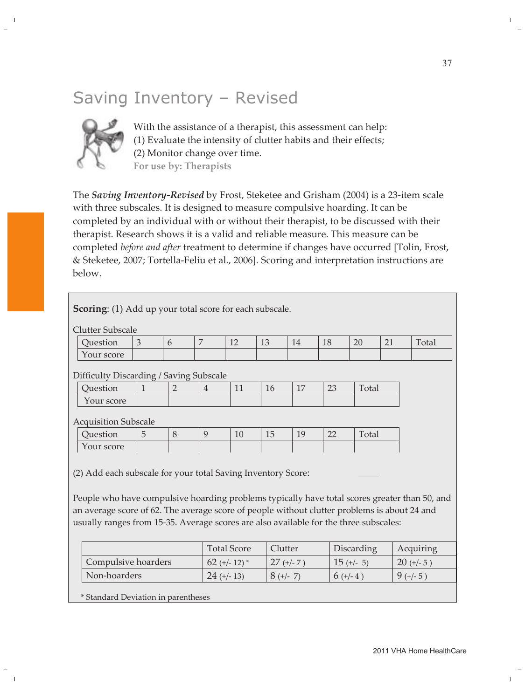## Saving Inventory – Revised



With the assistance of a therapist, this assessment can help: (1) Evaluate the intensity of clutter habits and their effects; (2) Monitor change over time. For use by: Therapists

The Saving Inventory-Revised by Frost, Steketee and Grisham (2004) is a 23-item scale with three subscales. It is designed to measure compulsive hoarding. It can be completed by an individual with or without their therapist, to be discussed with their therapist. Research shows it is a valid and reliable measure. This measure can be completed before and after treatment to determine if changes have occurred [Tolin, Frost, & Steketee, 2007; Tortella-Feliu et al., 2006]. Scoring and interpretation instructions are below.

| <b>Scoring:</b> (1) Add up your total score for each subscale.                               |                                                                                               |                |                |                    |             |              |             |              |             |              |
|----------------------------------------------------------------------------------------------|-----------------------------------------------------------------------------------------------|----------------|----------------|--------------------|-------------|--------------|-------------|--------------|-------------|--------------|
|                                                                                              |                                                                                               |                |                |                    |             |              |             |              |             |              |
| <b>Clutter Subscale</b>                                                                      |                                                                                               |                |                |                    |             |              |             |              |             |              |
| Question                                                                                     | 3                                                                                             | 6              | 7              | 12                 | 13          | 14           | 18          | 20           | 21          | Total        |
| Your score                                                                                   |                                                                                               |                |                |                    |             |              |             |              |             |              |
| Difficulty Discarding / Saving Subscale                                                      |                                                                                               |                |                |                    |             |              |             |              |             |              |
| Question                                                                                     | $\mathbf{1}$                                                                                  | $\overline{2}$ | $\overline{4}$ | 11                 | 16          | 17           | 23          | Total        |             |              |
| Your score                                                                                   |                                                                                               |                |                |                    |             |              |             |              |             |              |
|                                                                                              |                                                                                               |                |                |                    |             |              |             |              |             |              |
| <b>Acquisition Subscale</b><br>Question                                                      | 5                                                                                             | 8              | 9              | 10                 | 15          | 19           | 22          | Total        |             |              |
|                                                                                              |                                                                                               |                |                |                    |             |              |             |              |             |              |
| Your score                                                                                   |                                                                                               |                |                |                    |             |              |             |              |             |              |
|                                                                                              |                                                                                               |                |                |                    |             |              |             |              |             |              |
| (2) Add each subscale for your total Saving Inventory Score:                                 |                                                                                               |                |                |                    |             |              |             |              |             |              |
|                                                                                              | People who have compulsive hoarding problems typically have total scores greater than 50, and |                |                |                    |             |              |             |              |             |              |
|                                                                                              |                                                                                               |                |                |                    |             |              |             |              |             |              |
| an average score of 62. The average score of people without clutter problems is about 24 and |                                                                                               |                |                |                    |             |              |             |              |             |              |
| usually ranges from 15-35. Average scores are also available for the three subscales:        |                                                                                               |                |                |                    |             |              |             |              |             |              |
|                                                                                              |                                                                                               |                |                |                    |             |              |             |              |             |              |
|                                                                                              |                                                                                               |                |                | <b>Total Score</b> | Clutter     |              |             | Discarding   |             | Acquiring    |
| Compulsive hoarders                                                                          |                                                                                               |                |                | 62 (+/- 12) $*$    |             | $27 (+/- 7)$ |             | $15 (+/- 5)$ |             | $20 (+/- 5)$ |
| Non-hoarders                                                                                 |                                                                                               |                | $24 (+-13)$    |                    | $8 (+/- 7)$ |              | $6 (+/- 4)$ |              | $9 (+/- 5)$ |              |
| * Standard Deviation in parentheses                                                          |                                                                                               |                |                |                    |             |              |             |              |             |              |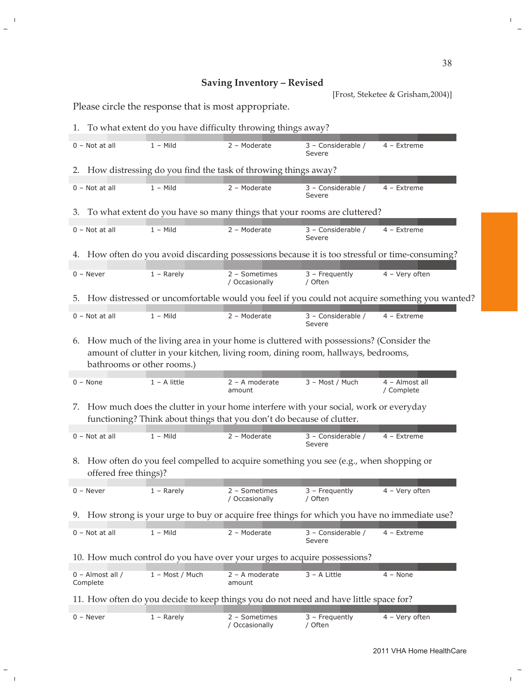## Saving Inventory - Revised

[Frost, Steketee & Grisham, 2004)]

Please circle the response that is most appropriate.

|                                                                                                                                                                    | 1. To what extent do you have difficulty throwing things away?                                                                                                                                          |                 |                                 |                                                                             |                              |  |  |  |  |
|--------------------------------------------------------------------------------------------------------------------------------------------------------------------|---------------------------------------------------------------------------------------------------------------------------------------------------------------------------------------------------------|-----------------|---------------------------------|-----------------------------------------------------------------------------|------------------------------|--|--|--|--|
|                                                                                                                                                                    | $0 - Not at all$                                                                                                                                                                                        | $1 -$ Mild      | 2 - Moderate                    | 3 - Considerable /<br>Severe                                                | 4 - Extreme                  |  |  |  |  |
|                                                                                                                                                                    | 2. How distressing do you find the task of throwing things away?                                                                                                                                        |                 |                                 |                                                                             |                              |  |  |  |  |
|                                                                                                                                                                    | $0 - Not at all$                                                                                                                                                                                        | $1 -$ Mild      | 2 - Moderate                    | 3 - Considerable /<br>Severe                                                | 4 - Extreme                  |  |  |  |  |
|                                                                                                                                                                    |                                                                                                                                                                                                         |                 |                                 | 3. To what extent do you have so many things that your rooms are cluttered? |                              |  |  |  |  |
|                                                                                                                                                                    | $0 - Not at all$                                                                                                                                                                                        | $1 -$ Mild      | 2 - Moderate                    | 3 - Considerable /<br>Severe                                                | 4 - Extreme                  |  |  |  |  |
|                                                                                                                                                                    | 4. How often do you avoid discarding possessions because it is too stressful or time-consuming?                                                                                                         |                 |                                 |                                                                             |                              |  |  |  |  |
|                                                                                                                                                                    | $0 -$ Never                                                                                                                                                                                             | $1 -$ Rarely    | 2 - Sometimes<br>/ Occasionally | $3$ – Frequently<br>/ Often                                                 | 4 - Very often               |  |  |  |  |
| How distressed or uncomfortable would you feel if you could not acquire something you wanted?<br>5.                                                                |                                                                                                                                                                                                         |                 |                                 |                                                                             |                              |  |  |  |  |
|                                                                                                                                                                    | $0 - Not$ at all                                                                                                                                                                                        | $1 -$ Mild      | 2 - Moderate                    | 3 - Considerable /<br>Severe                                                | $4$ – Extreme                |  |  |  |  |
| 6.                                                                                                                                                                 | How much of the living area in your home is cluttered with possessions? (Consider the<br>amount of clutter in your kitchen, living room, dining room, hallways, bedrooms,<br>bathrooms or other rooms.) |                 |                                 |                                                                             |                              |  |  |  |  |
|                                                                                                                                                                    | $0 - None$                                                                                                                                                                                              | $1 - A$ little  | 2 - A moderate<br>amount        | 3 - Most / Much                                                             | 4 - Almost all<br>/ Complete |  |  |  |  |
| How much does the clutter in your home interfere with your social, work or everyday<br>7.<br>functioning? Think about things that you don't do because of clutter. |                                                                                                                                                                                                         |                 |                                 |                                                                             |                              |  |  |  |  |
|                                                                                                                                                                    | $0 - Not at all$                                                                                                                                                                                        | $1 -$ Mild      | 2 - Moderate                    | 3 - Considerable /<br>Severe                                                | 4 - Extreme                  |  |  |  |  |
| 8. How often do you feel compelled to acquire something you see (e.g., when shopping or<br>offered free things)?                                                   |                                                                                                                                                                                                         |                 |                                 |                                                                             |                              |  |  |  |  |
|                                                                                                                                                                    | $0 -$ Never                                                                                                                                                                                             | $1 -$ Rarely    | 2 - Sometimes<br>/ Occasionally | $3$ – Frequently<br>/ Often                                                 | 4 - Very often               |  |  |  |  |
| 9. How strong is your urge to buy or acquire free things for which you have no immediate use?                                                                      |                                                                                                                                                                                                         |                 |                                 |                                                                             |                              |  |  |  |  |
|                                                                                                                                                                    | $0 - Not$ at all                                                                                                                                                                                        | $1 -$ Mild      | 2 - Moderate                    | 3 - Considerable /<br>Severe                                                | 4 - Extreme                  |  |  |  |  |
| 10. How much control do you have over your urges to acquire possessions?                                                                                           |                                                                                                                                                                                                         |                 |                                 |                                                                             |                              |  |  |  |  |
|                                                                                                                                                                    | 0 - Almost all /<br>Complete                                                                                                                                                                            | 1 - Most / Much | 2 - A moderate<br>amount        | 3 - A Little                                                                | $4 - None$                   |  |  |  |  |
| 11. How often do you decide to keep things you do not need and have little space for?                                                                              |                                                                                                                                                                                                         |                 |                                 |                                                                             |                              |  |  |  |  |
|                                                                                                                                                                    |                                                                                                                                                                                                         |                 |                                 |                                                                             |                              |  |  |  |  |